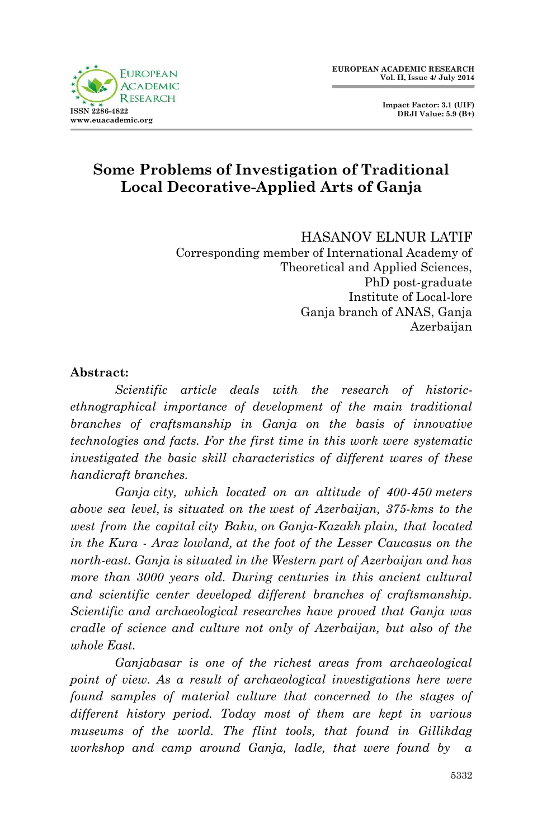

 **Impact Factor: 3.1 (UIF) DRJI Value: 5.9 (B+)**

# **Some Problems of Investigation of Traditional Local Decorative-Applied Arts of Ganja**

HASANOV ELNUR LATIF Corresponding member of International Academy of Theoretical and Applied Sciences, PhD post-graduate Institute of Local-lore Ganja branch of ANAS, Ganja Azerbaijan

#### **Abstract:**

*Scientific article deals with the research of historicethnographical importance of development of the main traditional branches of craftsmanship in Ganja on the basis of innovative technologies and facts. For the first time in this work were systematic investigated the basic skill characteristics of different wares of these handicraft branches.*

*Ganja city, which located on an altitude of 400-450 meters above sea level, is situated on the west of Azerbaijan, 375-kms to the west from the capital city Baku, on Ganja-Kazakh plain, that located in the Kura - Araz lowland, at the foot of the Lesser Caucasus on the north-east. Ganja is situated in the Western part of Azerbaijan and has more than 3000 years old. During centuries in this ancient cultural and scientific center developed different branches of craftsmanship. Scientific and archaeological researches have proved that Ganja was cradle of science and culture not only of Azerbaijan, but also of the whole East.* 

*Ganjabasar is one of the richest areas from archaeological point of view. As a result of archaeological investigations here were found samples of material culture that concerned to the stages of different history period. Today most of them are kept in various museums of the world. The flint tools, that found in Gillikdag workshop and camp around Ganja, ladle, that were found by a*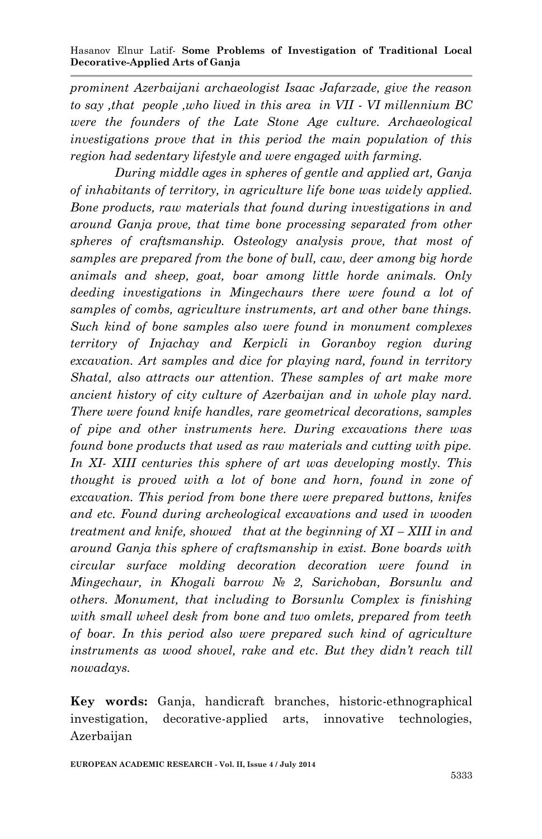*prominent Azerbaijani archaeologist Isaac Jafarzade, give the reason to say ,that people ,who lived in this area in VII - VI millennium BC were the founders of the Late Stone Age culture. Archaeological investigations prove that in this period the main population of this region had sedentary lifestyle and were engaged with farming.*

*During middle ages in spheres of gentle and applied art, Ganja of inhabitants of territory, in agriculture life bone was widely applied. Bone products, raw materials that found during investigations in and around Ganja prove, that time bone processing separated from other spheres of craftsmanship. Osteology analysis prove, that most of samples are prepared from the bone of bull, caw, deer among big horde animals and sheep, goat, boar among little horde animals. Only deeding investigations in Mingechaurs there were found a lot of samples of combs, agriculture instruments, art and other bane things. Such kind of bone samples also were found in monument complexes territory of Injachay and Kerpicli in Goranboy region during excavation. Art samples and dice for playing nard, found in territory Shatal, also attracts our attention. These samples of art make more ancient history of city culture of Azerbaijan and in whole play nard. There were found knife handles, rare geometrical decorations, samples of pipe and other instruments here. During excavations there was found bone products that used as raw materials and cutting with pipe. In XI- XIII centuries this sphere of art was developing mostly. This thought is proved with a lot of bone and horn, found in zone of excavation. This period from bone there were prepared buttons, knifes and etc. Found during archeological excavations and used in wooden treatment and knife, showed that at the beginning of XI – XIII in and around Ganja this sphere of craftsmanship in exist. Bone boards with circular surface molding decoration decoration were found in Mingechaur, in Khogali barrow № 2, Sarichoban, Borsunlu and others. Monument, that including to Borsunlu Complex is finishing with small wheel desk from bone and two omlets, prepared from teeth of boar. In this period also were prepared such kind of agriculture instruments as wood shovel, rake and etc. But they didn't reach till nowadays.*

**Key words:** Ganja, handicraft branches, historic-ethnographical investigation, decorative-applied arts, innovative technologies, Azerbaijan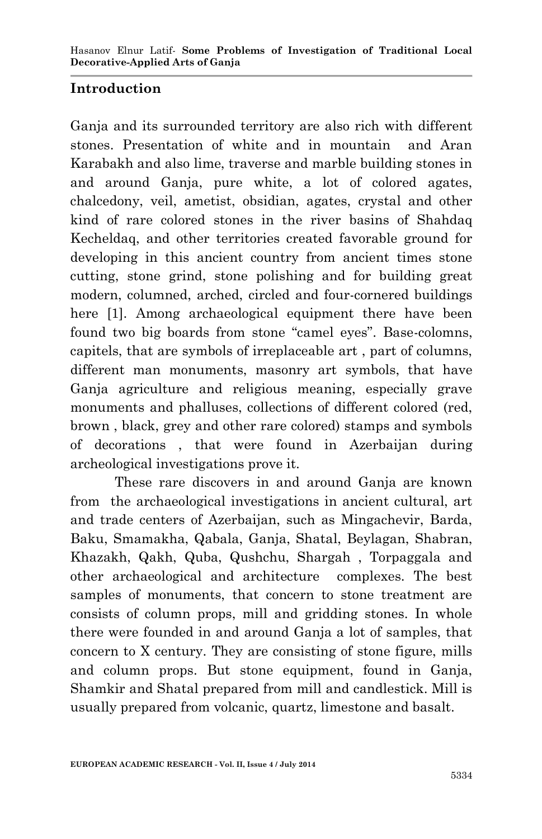## **Introduction**

Ganja and its surrounded territory are also rich with different stones. Presentation of white and in mountain and Aran Karabakh and also lime, traverse and marble building stones in and around Ganja, pure white, a lot of colored agates, chalcedony, veil, ametist, obsidian, agates, crystal and other kind of rare colored stones in the river basins of Shahdaq Kecheldaq, and other territories created favorable ground for developing in this ancient country from ancient times stone cutting, stone grind, stone polishing and for building great modern, columned, arched, circled and four-cornered buildings here [1]. Among archaeological equipment there have been found two big boards from stone "camel eyes". Base-colomns, capitels, that are symbols of irreplaceable art , part of columns, different man monuments, masonry art symbols, that have Ganja agriculture and religious meaning, especially grave monuments and phalluses, collections of different colored (red, brown , black, grey and other rare colored) stamps and symbols of decorations , that were found in Azerbaijan during archeological investigations prove it.

These rare discovers in and around Ganja are known from the archaeological investigations in ancient cultural, art and trade centers of Azerbaijan, such as Mingachevir, Barda, Baku, Smamakha, Qabala, Ganja, Shatal, Beylagan, Shabran, Khazakh, Qakh, Quba, Qushchu, Shargah , Torpaggala and other archaeological and architecture complexes. The best samples of monuments, that concern to stone treatment are consists of column props, mill and gridding stones. In whole there were founded in and around Ganja a lot of samples, that concern to X century. They are consisting of stone figure, mills and column props. But stone equipment, found in Ganja, Shamkir and Shatal prepared from mill and candlestick. Mill is usually prepared from volcanic, quartz, limestone and basalt.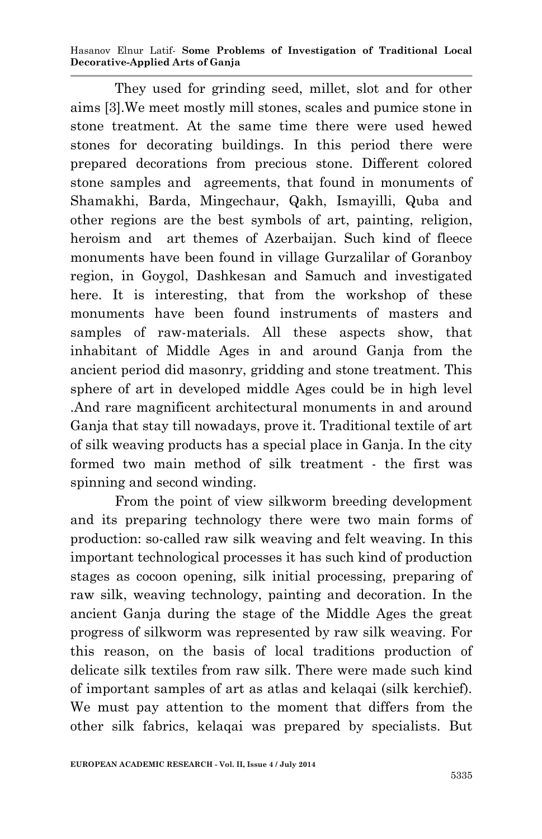Hasanov Elnur Latif*-* **Some Problems of Investigation of Traditional Local Decorative-Applied Arts of Ganja**

They used for grinding seed, millet, slot and for other aims [3].We meet mostly mill stones, scales and pumice stone in stone treatment. At the same time there were used hewed stones for decorating buildings. In this period there were prepared decorations from precious stone. Different colored stone samples and agreements, that found in monuments of Shamakhi, Barda, Mingechaur, Qakh, Ismayilli, Quba and other regions are the best symbols of art, painting, religion, heroism and art themes of Azerbaijan. Such kind of fleece monuments have been found in village Gurzalilar of Goranboy region, in Goygol, Dashkesan and Samuch and investigated here. It is interesting, that from the workshop of these monuments have been found instruments of masters and samples of raw-materials. All these aspects show, that inhabitant of Middle Ages in and around Ganja from the ancient period did masonry, gridding and stone treatment. This sphere of art in developed middle Ages could be in high level .And rare magnificent architectural monuments in and around Ganja that stay till nowadays, prove it. Traditional textile of art of silk weaving products has a special place in Ganja. In the city formed two main method of silk treatment - the first was spinning and second winding.

From the point of view silkworm breeding development and its preparing technology there were two main forms of production: so-called raw silk weaving and felt weaving. In this important technological processes it has such kind of production stages as cocoon opening, silk initial processing, preparing of raw silk, weaving technology, painting and decoration. In the ancient Ganja during the stage of the Middle Ages the great progress of silkworm was represented by raw silk weaving. For this reason, on the basis of local traditions production of delicate silk textiles from raw silk. There were made such kind of important samples of art as atlas and kelaqai (silk kerchief). We must pay attention to the moment that differs from the other silk fabrics, kelaqai was prepared by specialists. But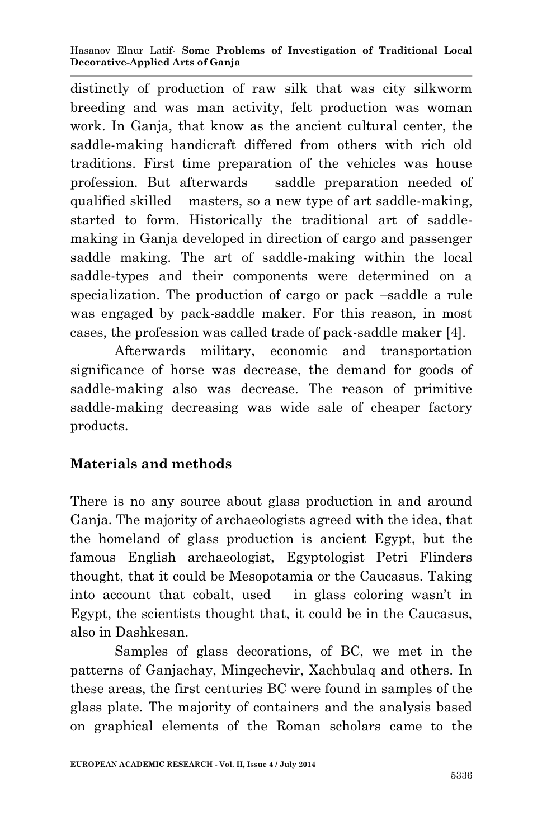distinctly of production of raw silk that was city silkworm breeding and was man activity, felt production was woman work. In Ganja, that know as the ancient cultural center, the saddle-making handicraft differed from others with rich old traditions. First time preparation of the vehicles was house profession. But afterwards saddle preparation needed of qualified skilled masters, so a new type of art saddle-making, started to form. Historically the traditional art of saddlemaking in Ganja developed in direction of cargo and passenger saddle making. The art of saddle-making within the local saddle-types and their components were determined on a specialization. The production of cargo or pack –saddle a rule was engaged by pack-saddle maker. For this reason, in most cases, the profession was called trade of pack-saddle maker [4].

Afterwards military, economic and transportation significance of horse was decrease, the demand for goods of saddle-making also was decrease. The reason of primitive saddle-making decreasing was wide sale of cheaper factory products.

# **Materials and methods**

There is no any source about glass production in and around Ganja. The majority of archaeologists agreed with the idea, that the homeland of glass production is ancient Egypt, but the famous English archaeologist, Egyptologist Petri Flinders thought, that it could be Mesopotamia or the Caucasus. Taking into account that cobalt, used in glass coloring wasn't in Egypt, the scientists thought that, it could be in the Caucasus, also in Dashkesan.

Samples of glass decorations, of BC, we met in the patterns of Ganjachay, Mingechevir, Xachbulaq and others. In these areas, the first centuries BC were found in samples of the glass plate. The majority of containers and the analysis based on graphical elements of the Roman scholars came to the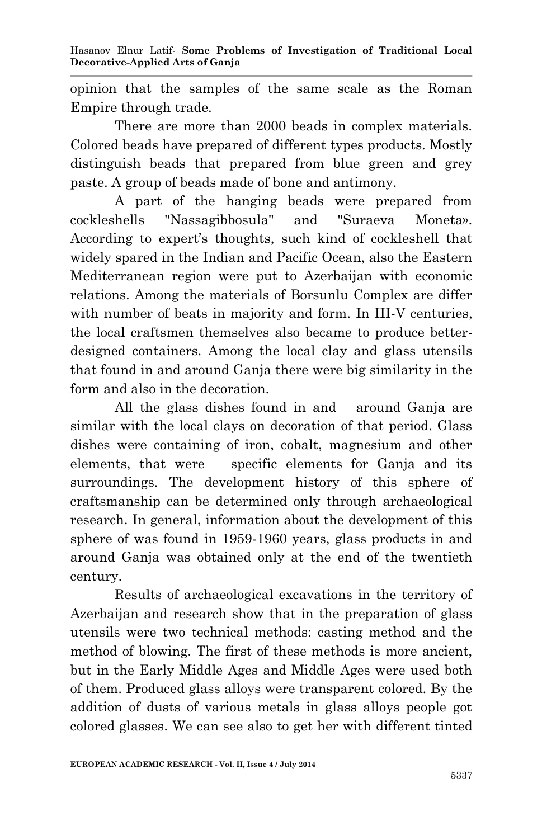opinion that the samples of the same scale as the Roman Empire through trade.

There are more than 2000 beads in complex materials. Colored beads have prepared of different types products. Mostly distinguish beads that prepared from blue green and grey paste. A group of beads made of bone and antimony.

A part of the hanging beads were prepared from cockleshells "Nassagibbosula" and "Suraeva Moneta». According to expert's thoughts, such kind of cockleshell that widely spared in the Indian and Pacific Ocean, also the Eastern Mediterranean region were put to Azerbaijan with economic relations. Among the materials of Borsunlu Complex are differ with number of beats in majority and form. In III-V centuries, the local craftsmen themselves also became to produce betterdesigned containers. Among the local clay and glass utensils that found in and around Ganja there were big similarity in the form and also in the decoration.

All the glass dishes found in and around Ganja are similar with the local clays on decoration of that period. Glass dishes were containing of iron, cobalt, magnesium and other elements, that were specific elements for Ganja and its surroundings. The development history of this sphere of craftsmanship can be determined only through archaeological research. In general, information about the development of this sphere of was found in 1959-1960 years, glass products in and around Ganja was obtained only at the end of the twentieth century.

Results of archaeological excavations in the territory of Azerbaijan and research show that in the preparation of glass utensils were two technical methods: casting method and the method of blowing. The first of these methods is more ancient, but in the Early Middle Ages and Middle Ages were used both of them. Produced glass alloys were transparent colored. By the addition of dusts of various metals in glass alloys people got colored glasses. We can see also to get her with different tinted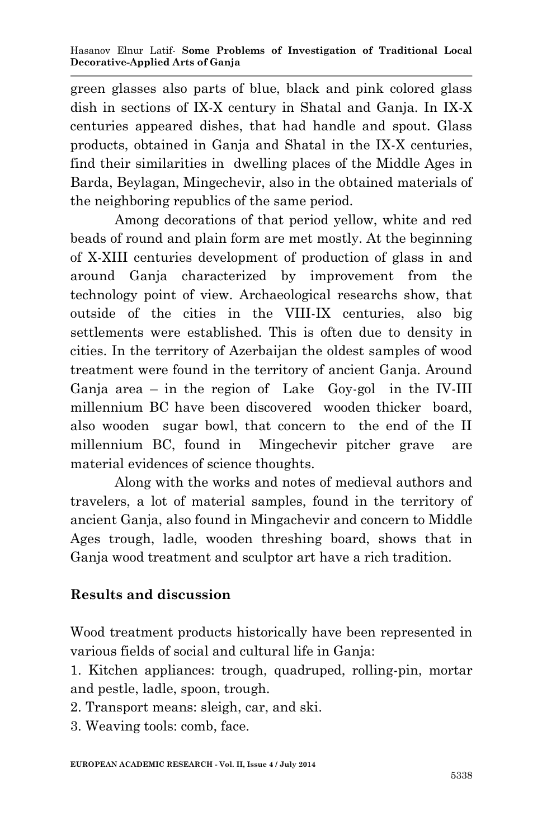green glasses also parts of blue, black and pink colored glass dish in sections of IX-X century in Shatal and Ganja. In IX-X centuries appeared dishes, that had handle and spout. Glass products, obtained in Ganja and Shatal in the IX-X centuries, find their similarities in dwelling places of the Middle Ages in Barda, Beylagan, Mingechevir, also in the obtained materials of the neighboring republics of the same period.

Among decorations of that period yellow, white and red beads of round and plain form are met mostly. At the beginning of X-XIII centuries development of production of glass in and around Ganja characterized by improvement from the technology point of view. Archaeological researchs show, that outside of the cities in the VIII-IX centuries, also big settlements were established. This is often due to density in cities. In the territory of Azerbaijan the oldest samples of wood treatment were found in the territory of ancient Ganja. Around Ganja area – in the region of Lake Goy-gol in the IV-III millennium BC have been discovered wooden thicker board, also wooden sugar bowl, that concern to the end of the II millennium BC, found in Mingechevir pitcher grave are material evidences of science thoughts.

Along with the works and notes of medieval authors and travelers, a lot of material samples, found in the territory of ancient Ganja, also found in Mingachevir and concern to Middle Ages trough, ladle, wooden threshing board, shows that in Ganja wood treatment and sculptor art have a rich tradition.

## **Results and discussion**

Wood treatment products historically have been represented in various fields of social and cultural life in Ganja:

1. Kitchen appliances: trough, quadruped, rolling-pin, mortar and pestle, ladle, spoon, trough.

2. Transport means: sleigh, car, and ski.

3. Weaving tools: comb, face.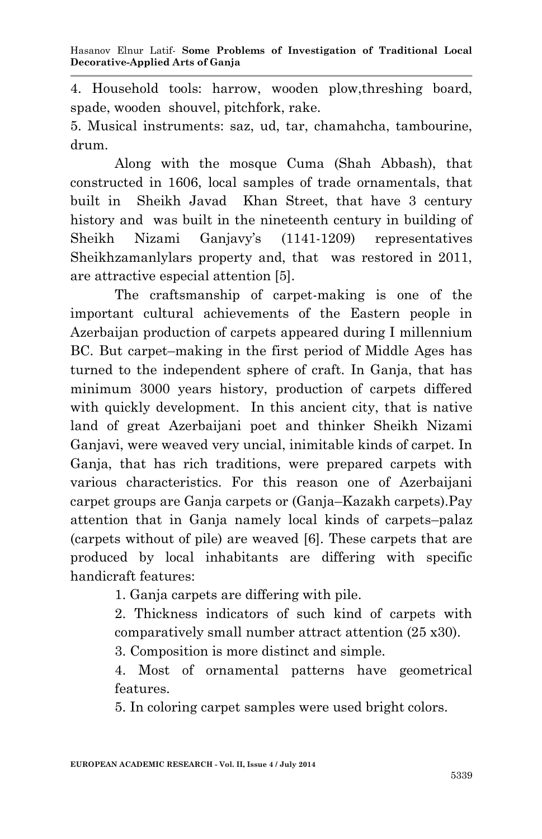4. Household tools: harrow, wooden plow,threshing board, spade, wooden shouvel, pitchfork, rake.

5. Musical instruments: saz, ud, tar, chamahcha, tambourine, drum.

Along with the mosque Cuma (Shah Abbash), that constructed in 1606, local samples of trade ornamentals, that built in Sheikh Javad Khan Street, that have 3 century history and was built in the nineteenth century in building of Sheikh Nizami Ganjavy's (1141-1209) representatives Sheikhzamanlylars property and, that was restored in 2011, are attractive especial attention [5].

The craftsmanship of carpet-making is one of the important cultural achievements of the Eastern people in Azerbaijan production of carpets appeared during I millennium BC. But carpet–making in the first period of Middle Ages has turned to the independent sphere of craft. In Ganja, that has minimum 3000 years history, production of carpets differed with quickly development. In this ancient city, that is native land of great Azerbaijani poet and thinker Sheikh Nizami Ganjavi, were weaved very uncial, inimitable kinds of carpet. In Ganja, that has rich traditions, were prepared carpets with various characteristics. For this reason one of Azerbaijani carpet groups are Ganja carpets or (Ganja–Kazakh carpets).Pay attention that in Ganja namely local kinds of carpets–palaz (carpets without of pile) are weaved [6]. These carpets that are produced by local inhabitants are differing with specific handicraft features:

1. Ganja carpets are differing with pile.

2. Thickness indicators of such kind of carpets with comparatively small number attract attention (25 x30).

3. Composition is more distinct and simple.

4. Most of ornamental patterns have geometrical features.

5. In coloring carpet samples were used bright colors.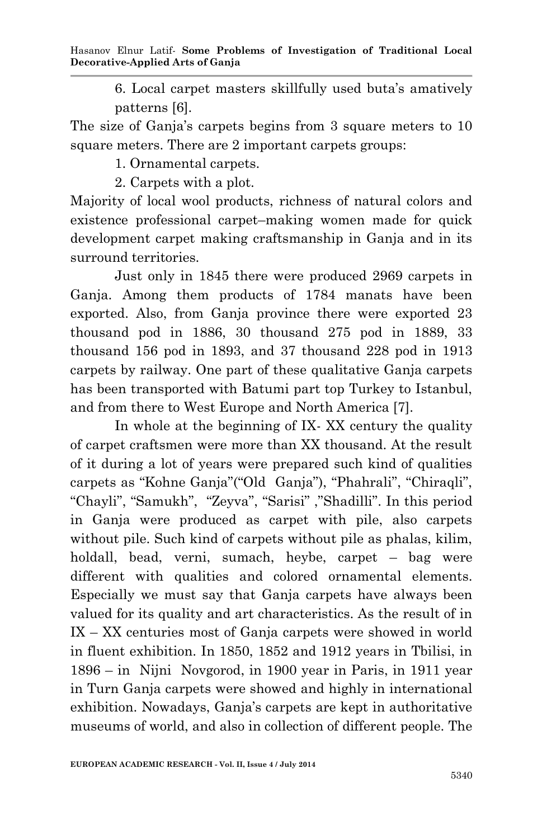6. Local carpet masters skillfully used buta's amatively patterns [6].

The size of Ganja's carpets begins from 3 square meters to 10 square meters. There are 2 important carpets groups:

1. Ornamental carpets.

2. Carpets with a plot.

Majority of local wool products, richness of natural colors and existence professional carpet–making women made for quick development carpet making craftsmanship in Ganja and in its surround territories.

Just only in 1845 there were produced 2969 carpets in Ganja. Among them products of 1784 manats have been exported. Also, from Ganja province there were exported 23 thousand pod in 1886, 30 thousand 275 pod in 1889, 33 thousand 156 pod in 1893, and 37 thousand 228 pod in 1913 carpets by railway. One part of these qualitative Ganja carpets has been transported with Batumi part top Turkey to Istanbul, and from there to West Europe and North America [7].

In whole at the beginning of IX- XX century the quality of carpet craftsmen were more than XX thousand. At the result of it during a lot of years were prepared such kind of qualities carpets as "Kohne Ganja"("Old Ganja"), "Phahrali", "Chiraqli", "Chayli", "Samukh", "Zeyva", "Sarisi" ,"Shadilli". In this period in Ganja were produced as carpet with pile, also carpets without pile. Such kind of carpets without pile as phalas, kilim, holdall, bead, verni, sumach, heybe, carpet – bag were different with qualities and colored ornamental elements. Especially we must say that Ganja carpets have always been valued for its quality and art characteristics. As the result of in IX – XX centuries most of Ganja carpets were showed in world in fluent exhibition. In 1850, 1852 and 1912 years in Tbilisi, in 1896 – in Nijni Novgorod, in 1900 year in Paris, in 1911 year in Turn Ganja carpets were showed and highly in international exhibition. Nowadays, Ganja's carpets are kept in authoritative museums of world, and also in collection of different people. The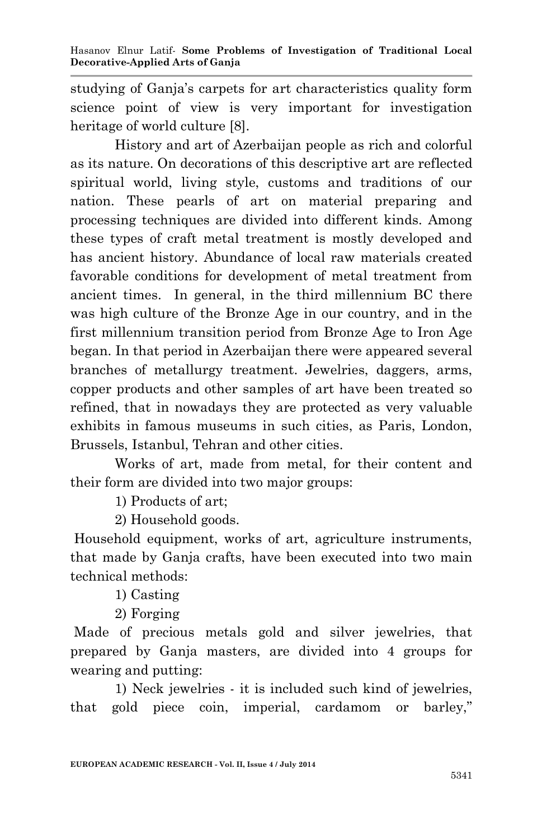studying of Ganja's carpets for art characteristics quality form science point of view is very important for investigation heritage of world culture [8].

History and art of Azerbaijan people as rich and colorful as its nature. On decorations of this descriptive art are reflected spiritual world, living style, customs and traditions of our nation. These pearls of art on material preparing and processing techniques are divided into different kinds. Among these types of craft metal treatment is mostly developed and has ancient history. Abundance of local raw materials created favorable conditions for development of metal treatment from ancient times. In general, in the third millennium BC there was high culture of the Bronze Age in our country, and in the first millennium transition period from Bronze Age to Iron Age began. In that period in Azerbaijan there were appeared several branches of metallurgy treatment. Jewelries, daggers, arms, copper products and other samples of art have been treated so refined, that in nowadays they are protected as very valuable exhibits in famous museums in such cities, as Paris, London, Brussels, Istanbul, Tehran and other cities.

Works of art, made from metal, for their content and their form are divided into two major groups:

1) Products of art;

2) Household goods.

Household equipment, works of art, agriculture instruments, that made by Ganja crafts, have been executed into two main technical methods:

1) Casting

2) Forging

Made of precious metals gold and silver jewelries, that prepared by Ganja masters, are divided into 4 groups for wearing and putting:

1) Neck jewelries - it is included such kind of jewelries, that gold piece coin, imperial, cardamom or barley,"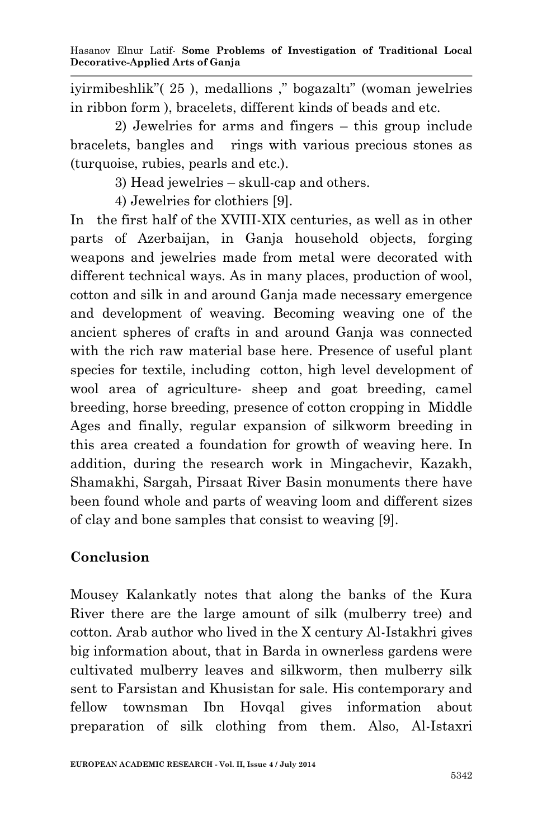iyirmibeshlik"( 25 ), medallions ," bogazaltı" (woman jewelries in ribbon form ), bracelets, different kinds of beads and etc.

2) Jewelries for arms and fingers – this group include bracelets, bangles and rings with various precious stones as (turquoise, rubies, pearls and etc.).

3) Head jewelries – skull-cap and others.

4) Jewelries for clothiers [9].

In the first half of the XVIII-XIX centuries, as well as in other parts of Azerbaijan, in Ganja household objects, forging weapons and jewelries made from metal were decorated with different technical ways. As in many places, production of wool, cotton and silk in and around Ganja made necessary emergence and development of weaving. Becoming weaving one of the ancient spheres of crafts in and around Ganja was connected with the rich raw material base here. Presence of useful plant species for textile, including cotton, high level development of wool area of agriculture- sheep and goat breeding, camel breeding, horse breeding, presence of cotton cropping in Middle Ages and finally, regular expansion of silkworm breeding in this area created a foundation for growth of weaving here. In addition, during the research work in Mingachevir, Kazakh, Shamakhi, Sargah, Pirsaat River Basin monuments there have been found whole and parts of weaving loom and different sizes of clay and bone samples that consist to weaving [9].

## **Conclusion**

Mousey Kalankatly notes that along the banks of the Kura River there are the large amount of silk (mulberry tree) and cotton. Arab author who lived in the X century Al-Istakhri gives big information about, that in Barda in ownerless gardens were cultivated mulberry leaves and silkworm, then mulberry silk sent to Farsistan and Khusistan for sale. His contemporary and fellow townsman Ibn Hovqal gives information about preparation of silk clothing from them. Also, Al-Istaxri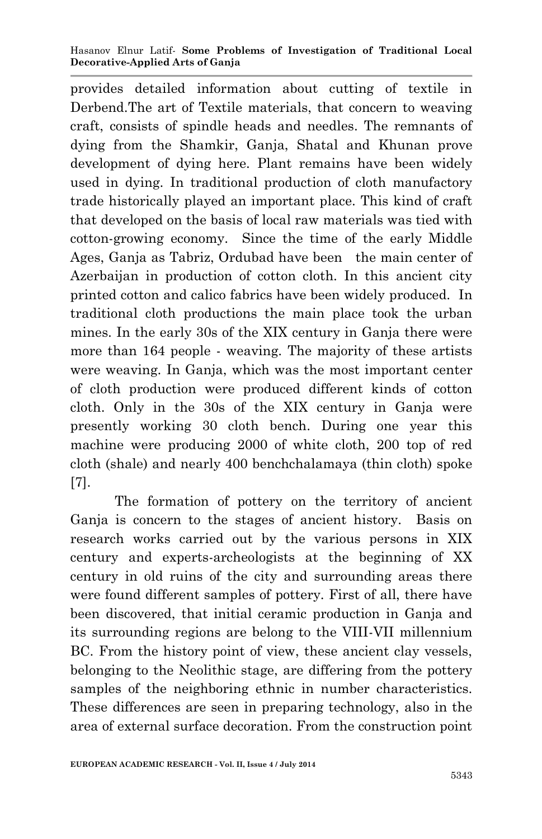#### Hasanov Elnur Latif*-* **Some Problems of Investigation of Traditional Local Decorative-Applied Arts of Ganja**

provides detailed information about cutting of textile in Derbend.The art of Textile materials, that concern to weaving craft, consists of spindle heads and needles. The remnants of dying from the Shamkir, Ganja, Shatal and Khunan prove development of dying here. Plant remains have been widely used in dying. In traditional production of cloth manufactory trade historically played an important place. This kind of craft that developed on the basis of local raw materials was tied with cotton-growing economy. Since the time of the early Middle Ages, Ganja as Tabriz, Ordubad have been the main center of Azerbaijan in production of cotton cloth. In this ancient city printed cotton and calico fabrics have been widely produced. In traditional cloth productions the main place took the urban mines. In the early 30s of the XIX century in Ganja there were more than 164 people - weaving. The majority of these artists were weaving. In Ganja, which was the most important center of cloth production were produced different kinds of cotton cloth. Only in the 30s of the XIX century in Ganja were presently working 30 cloth bench. During one year this machine were producing 2000 of white cloth, 200 top of red cloth (shale) and nearly 400 benchchalamaya (thin cloth) spoke [7].

The formation of pottery on the territory of ancient Ganja is concern to the stages of ancient history. Basis on research works carried out by the various persons in XIX century and experts-archeologists at the beginning of XX century in old ruins of the city and surrounding areas there were found different samples of pottery. First of all, there have been discovered, that initial ceramic production in Ganja and its surrounding regions are belong to the VIII-VII millennium BC. From the history point of view, these ancient clay vessels, belonging to the Neolithic stage, are differing from the pottery samples of the neighboring ethnic in number characteristics. These differences are seen in preparing technology, also in the area of external surface decoration. From the construction point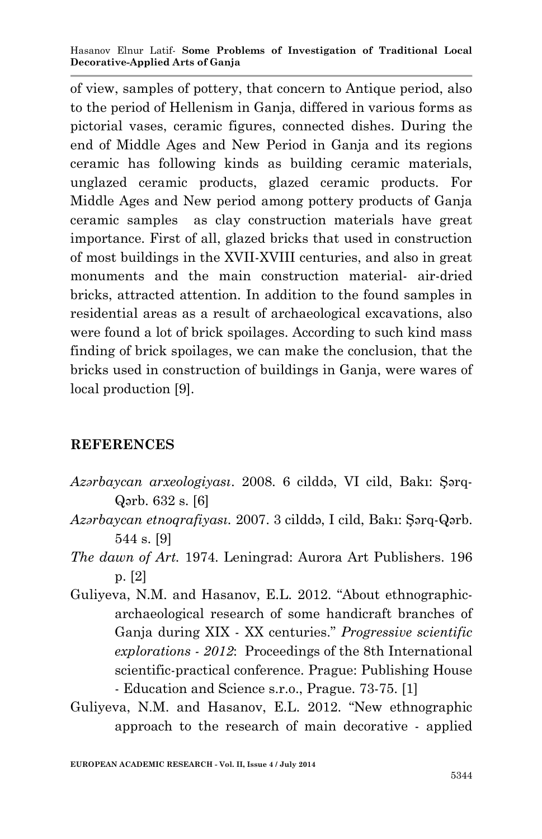of view, samples of pottery, that concern to Antique period, also to the period of Hellenism in Ganja, differed in various forms as pictorial vases, ceramic figures, connected dishes. During the end of Middle Ages and New Period in Ganja and its regions ceramic has following kinds as building ceramic materials, unglazed ceramic products, glazed ceramic products. For Middle Ages and New period among pottery products of Ganja ceramic samples as clay construction materials have great importance. First of all, glazed bricks that used in construction of most buildings in the XVII-XVIII centuries, and also in great monuments and the main construction material- air-dried bricks, attracted attention. In addition to the found samples in residential areas as a result of archaeological excavations, also were found a lot of brick spoilages. According to such kind mass finding of brick spoilages, we can make the conclusion, that the bricks used in construction of buildings in Ganja, were wares of local production [9].

#### **REFERENCES**

- *Azərbaycan arxeologiyası*. 2008. 6 cilddə, VI cild, Bakı: Şərq-Qərb. 632 s. [6]
- *Azərbaycan etnoqrafiyası.* 2007. 3 cilddə, I cild, Bakı: Şərq-Qərb. 544 s. [9]
- *The dawn of Art.* 1974. Leningrad: Aurora Art Publishers. 196 p. [2]
- Guliyeva, N.M. and Hasanov, E.L. 2012. "About ethnographicarchaeological research of some handicraft branches of Ganja during XIX - XX centuries." *Progressive scientific explorations - 2012*: Proceedings of the 8th International scientific-practical conference. Prague: Publishing House - Education and Science s.r.o., Prague. 73-75. [1]
- Guliyeva, N.M. and Hasanov, E.L. 2012. "New ethnographic approach to the research of main decorative - applied